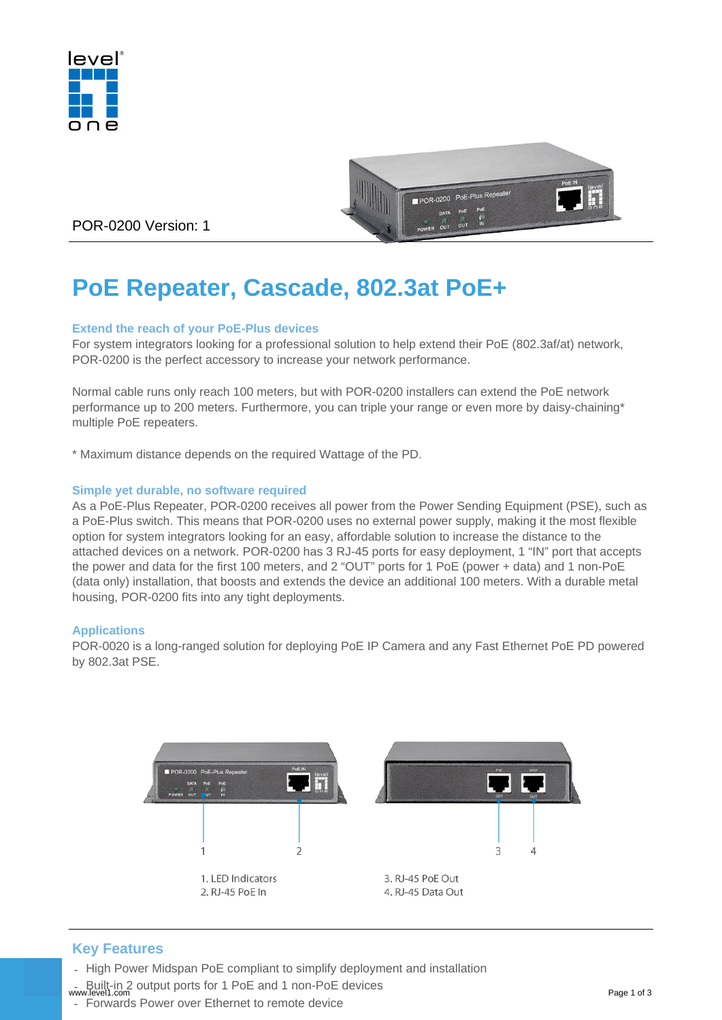



POR-0200 Version: 1

# **PoE Repeater, Cascade, 802.3at PoE+**

#### **Extend the reach of your PoE-Plus devices**

For system integrators looking for a professional solution to help extend their PoE (802.3af/at) network, POR-0200 is the perfect accessory to increase your network performance.

Normal cable runs only reach 100 meters, but with POR-0200 installers can extend the PoE network performance up to 200 meters. Furthermore, you can triple your range or even more by daisy-chaining\* multiple PoE repeaters.

\* Maximum distance depends on the required Wattage of the PD.

#### **Simple yet durable, no software required**

As a PoE-Plus Repeater, POR-0200 receives all power from the Power Sending Equipment (PSE), such as a PoE-Plus switch. This means that POR-0200 uses no external power supply, making it the most flexible option for system integrators looking for an easy, affordable solution to increase the distance to the attached devices on a network. POR-0200 has 3 RJ-45 ports for easy deployment, 1 "IN" port that accepts the power and data for the first 100 meters, and 2 "OUT" ports for 1 PoE (power + data) and 1 non-PoE (data only) installation, that boosts and extends the device an additional 100 meters. With a durable metal housing, POR-0200 fits into any tight deployments.

#### **Applications**

POR-0020 is a long-ranged solution for deploying PoE IP Camera and any Fast Ethernet PoE PD powered by 802.3at PSE.



## **Key Features**

- High Power Midspan PoE compliant to simplify deployment and installation
- Built-in 2 output ports for 1 PoE and 1 non-PoE devices www.level1.com Page 1 of 3
- Forwards Power over Ethernet to remote device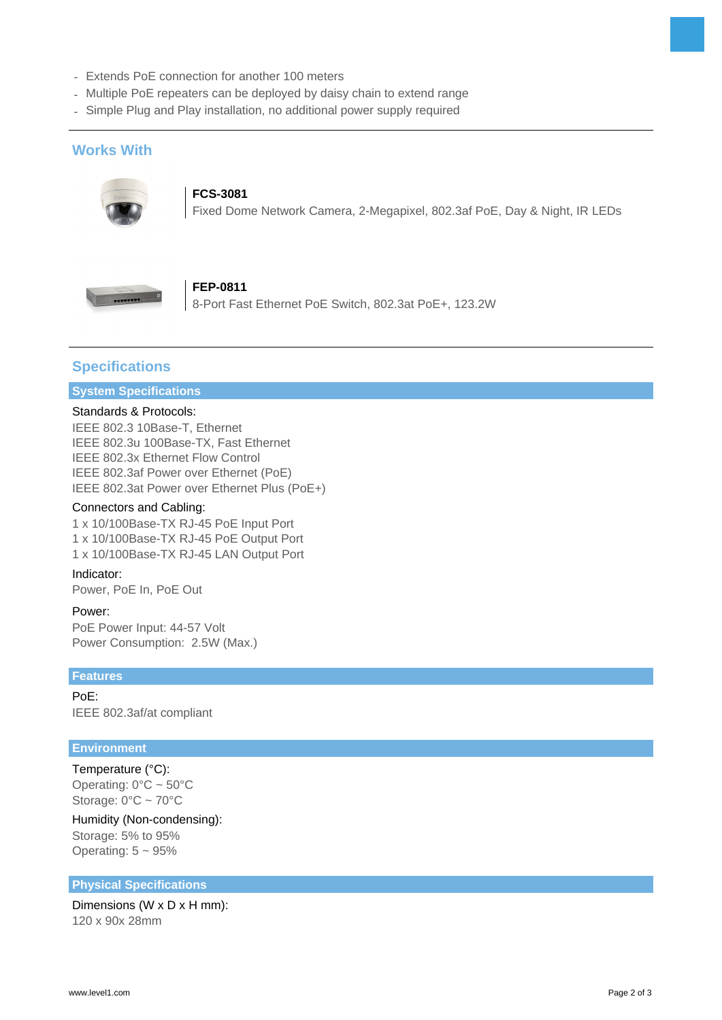- Extends PoE connection for another 100 meters
- Multiple PoE repeaters can be deployed by daisy chain to extend range
- Simple Plug and Play installation, no additional power supply required

## **Works With**



## **FCS-3081**

Fixed Dome Network Camera, 2-Megapixel, 802.3af PoE, Day & Night, IR LEDs



## **FEP-0811**

8-Port Fast Ethernet PoE Switch, 802.3at PoE+, 123.2W

## **Specifications**

### **System Specifications**

#### Standards & Protocols:

IEEE 802.3 10Base-T, Ethernet IEEE 802.3u 100Base-TX, Fast Ethernet IEEE 802.3x Ethernet Flow Control IEEE 802.3af Power over Ethernet (PoE) IEEE 802.3at Power over Ethernet Plus (PoE+)

#### Connectors and Cabling:

1 x 10/100Base-TX RJ-45 PoE Input Port 1 x 10/100Base-TX RJ-45 PoE Output Port 1 x 10/100Base-TX RJ-45 LAN Output Port

#### Indicator:

Power, PoE In, PoE Out

#### Power:

PoE Power Input: 44-57 Volt Power Consumption: 2.5W (Max.)

#### **Features**

PoE: IEEE 802.3af/at compliant

#### **Environment**

## Temperature (°C):

Operating: 0°C ~ 50°C Storage: 0°C ~ 70°C

#### Humidity (Non-condensing): Storage: 5% to 95%

Operating:  $5 \sim 95\%$ 

#### **Physical Specifications**

Dimensions (W x D x H mm): 120 x 90x 28mm